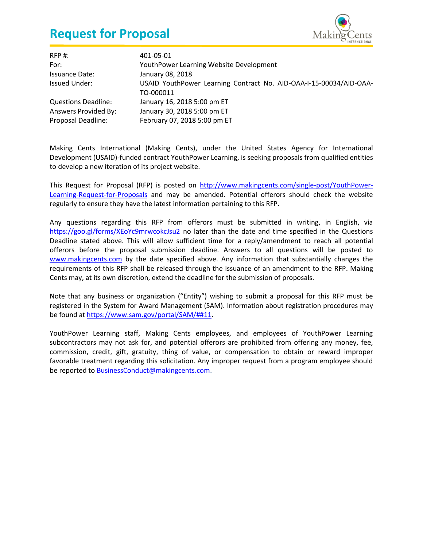

| RFP #:                     | 401-05-01                                                          |
|----------------------------|--------------------------------------------------------------------|
| For:                       | YouthPower Learning Website Development                            |
| <b>Issuance Date:</b>      | January 08, 2018                                                   |
| <b>Issued Under:</b>       | USAID YouthPower Learning Contract No. AID-OAA-I-15-00034/AID-OAA- |
|                            | TO-000011                                                          |
| <b>Questions Deadline:</b> | January 16, 2018 5:00 pm ET                                        |
| Answers Provided By:       | January 30, 2018 5:00 pm ET                                        |
| Proposal Deadline:         | February 07, 2018 5:00 pm ET                                       |

Making Cents International (Making Cents), under the United States Agency for International Development (USAID)-funded contract YouthPower Learning, is seeking proposals from qualified entities to develop a new iteration of its project website.

This Request for Proposal (RFP) is posted on [http://www.makingcents.com/single-post/YouthPower-](http://www.makingcents.com/single-post/YouthPower-Learning-Request-for-Proposals)[Learning-Request-for-Proposals](http://www.makingcents.com/single-post/YouthPower-Learning-Request-for-Proposals) and may be amended. Potential offerors should check the website regularly to ensure they have the latest information pertaining to this RFP.

Any questions regarding this RFP from offerors must be submitted in writing, in English, via <https://goo.gl/forms/XEoYc9mrwcokcJsu2> no later than the date and time specified in the Questions Deadline stated above. This will allow sufficient time for a reply/amendment to reach all potential offerors before the proposal submission deadline. Answers to all questions will be posted to [www.makingcents.com](http://www.makingcents.com/) by the date specified above. Any information that substantially changes the requirements of this RFP shall be released through the issuance of an amendment to the RFP. Making Cents may, at its own discretion, extend the deadline for the submission of proposals.

Note that any business or organization ("Entity") wishing to submit a proposal for this RFP must be registered in the System for Award Management (SAM). Information about registration procedures may be found a[t https://www.sam.gov/portal/SAM/##11.](https://www.sam.gov/portal/SAM/)

YouthPower Learning staff, Making Cents employees, and employees of YouthPower Learning subcontractors may not ask for, and potential offerors are prohibited from offering any money, fee, commission, credit, gift, gratuity, thing of value, or compensation to obtain or reward improper favorable treatment regarding this solicitation. Any improper request from a program employee should be reported to [BusinessConduct@makingcents.com.](mailto:BusinessConduct@makingcents.com)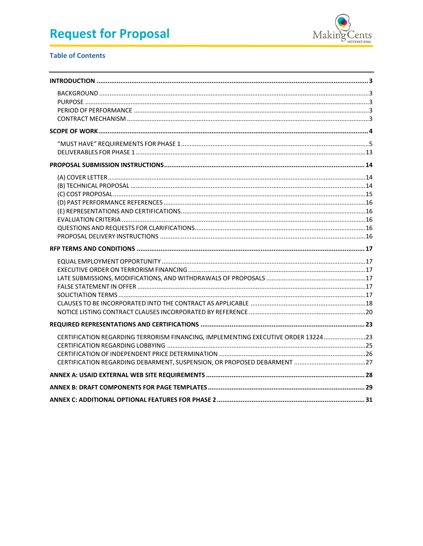

### **Table of Contents**

| CERTIFICATION REGARDING TERRORISM FINANCING, IMPLEMENTING EXECUTIVE ORDER 13224 23 |  |
|------------------------------------------------------------------------------------|--|
|                                                                                    |  |
|                                                                                    |  |
|                                                                                    |  |
|                                                                                    |  |
|                                                                                    |  |
|                                                                                    |  |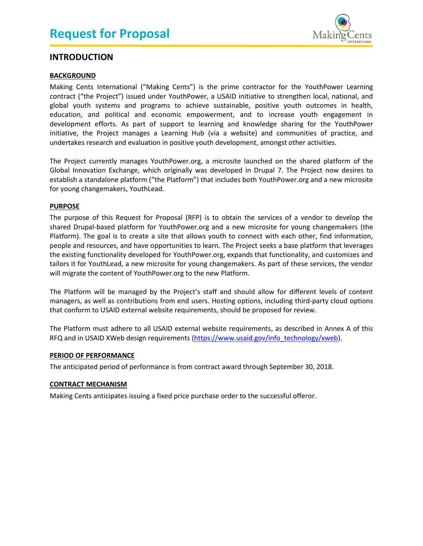

### <span id="page-2-0"></span>**INTRODUCTION**

### <span id="page-2-1"></span>**BACKGROUND**

Making Cents International ("Making Cents") is the prime contractor for the YouthPower Learning contract ("the Project") issued under YouthPower, a USAID initiative to strengthen local, national, and global youth systems and programs to achieve sustainable, positive youth outcomes in health, education, and political and economic empowerment, and to increase youth engagement in development efforts. As part of support to learning and knowledge sharing for the YouthPower initiative, the Project manages a Learning Hub (via a website) and communities of practice, and undertakes research and evaluation in positive youth development, amongst other activities.

The Project currently manages YouthPower.org, a microsite launched on the shared platform of the Global Innovation Exchange, which originally was developed in Drupal 7. The Project now desires to establish a standalone platform ("the Platform") that includes both YouthPower.org and a new microsite for young changemakers, YouthLead.

### <span id="page-2-2"></span>**PURPOSE**

The purpose of this Request for Proposal (RFP) is to obtain the services of a vendor to develop the shared Drupal-based platform for YouthPower.org and a new microsite for young changemakers (the Platform). The goal is to create a site that allows youth to connect with each other, find information, people and resources, and have opportunities to learn. The Project seeks a base platform that leverages the existing functionality developed for YouthPower.org, expands that functionality, and customizes and tailors it for YouthLead, a new microsite for young changemakers. As part of these services, the vendor will migrate the content of YouthPower.org to the new Platform.

The Platform will be managed by the Project's staff and should allow for different levels of content managers, as well as contributions from end users. Hosting options, including third-party cloud options that conform to USAID external website requirements, should be proposed for review.

The Platform must adhere to all USAID external website requirements, as described in Annex A of this RFQ and in USAID XWeb design requirements [\(https://www.usaid.gov/info\\_technology/xweb\)](https://www.usaid.gov/info_technology/xweb).

### <span id="page-2-3"></span>**PERIOD OF PERFORMANCE**

<span id="page-2-4"></span>The anticipated period of performance is from contract award through September 30, 2018.

### **CONTRACT MECHANISM**

Making Cents anticipates issuing a fixed price purchase order to the successful offeror.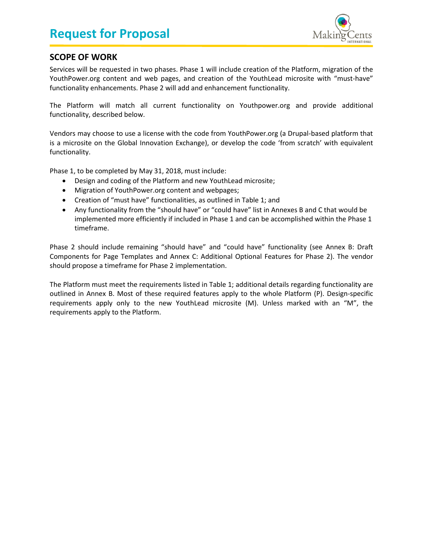

## <span id="page-3-0"></span>**SCOPE OF WORK**

Services will be requested in two phases. Phase 1 will include creation of the Platform, migration of the YouthPower.org content and web pages, and creation of the YouthLead microsite with "must-have" functionality enhancements. Phase 2 will add and enhancement functionality.

The Platform will match all current functionality on Youthpower.org and provide additional functionality, described below.

Vendors may choose to use a license with the code from YouthPower.org (a Drupal-based platform that is a microsite on the Global Innovation Exchange), or develop the code 'from scratch' with equivalent functionality.

Phase 1, to be completed by May 31, 2018, must include:

- Design and coding of the Platform and new YouthLead microsite;
- Migration of YouthPower.org content and webpages;
- Creation of "must have" functionalities, as outlined in [Table 1;](#page-4-1) and
- Any functionality from the "should have" or "could have" list in Annexes B and C that would be implemented more efficiently if included in Phase 1 and can be accomplished within the Phase 1 timeframe.

Phase 2 should include remaining "should have" and "could have" functionality (see [Annex B: Draft](#page-28-0)  [Components for Page Templates](#page-28-0) and [Annex C: Additional Optional Features](#page-30-0) for Phase 2). The vendor should propose a timeframe for Phase 2 implementation.

The Platform must meet the requirements listed in Table 1; additional details regarding functionality are outlined in Annex B. Most of these required features apply to the whole Platform (P). Design-specific requirements apply only to the new YouthLead microsite (M). Unless marked with an "M", the requirements apply to the Platform.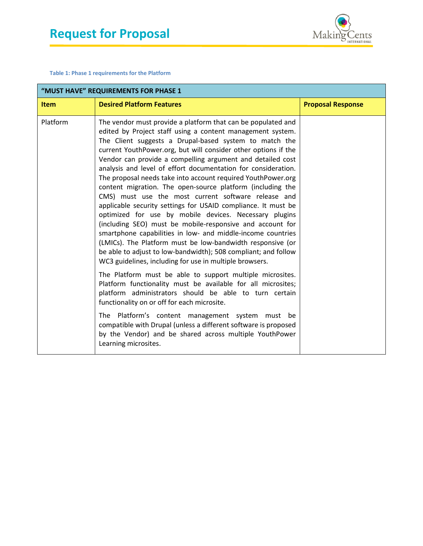

<span id="page-4-1"></span>**Table 1: Phase 1 requirements for the Platform**

<span id="page-4-0"></span>

| "MUST HAVE" REQUIREMENTS FOR PHASE 1 |                                                                                                                                                                                                                                                                                                                                                                                                                                                                                                                                                                                                                                                                                                                                                                                                                                                                                                                                                                                                                              |                          |
|--------------------------------------|------------------------------------------------------------------------------------------------------------------------------------------------------------------------------------------------------------------------------------------------------------------------------------------------------------------------------------------------------------------------------------------------------------------------------------------------------------------------------------------------------------------------------------------------------------------------------------------------------------------------------------------------------------------------------------------------------------------------------------------------------------------------------------------------------------------------------------------------------------------------------------------------------------------------------------------------------------------------------------------------------------------------------|--------------------------|
| <b>Item</b>                          | <b>Desired Platform Features</b>                                                                                                                                                                                                                                                                                                                                                                                                                                                                                                                                                                                                                                                                                                                                                                                                                                                                                                                                                                                             | <b>Proposal Response</b> |
| Platform                             | The vendor must provide a platform that can be populated and<br>edited by Project staff using a content management system.<br>The Client suggests a Drupal-based system to match the<br>current YouthPower.org, but will consider other options if the<br>Vendor can provide a compelling argument and detailed cost<br>analysis and level of effort documentation for consideration.<br>The proposal needs take into account required YouthPower.org<br>content migration. The open-source platform (including the<br>CMS) must use the most current software release and<br>applicable security settings for USAID compliance. It must be<br>optimized for use by mobile devices. Necessary plugins<br>(including SEO) must be mobile-responsive and account for<br>smartphone capabilities in low- and middle-income countries<br>(LMICs). The Platform must be low-bandwidth responsive (or<br>be able to adjust to low-bandwidth); 508 compliant; and follow<br>WC3 guidelines, including for use in multiple browsers. |                          |
|                                      | The Platform must be able to support multiple microsites.<br>Platform functionality must be available for all microsites;<br>platform administrators should be able to turn certain<br>functionality on or off for each microsite.                                                                                                                                                                                                                                                                                                                                                                                                                                                                                                                                                                                                                                                                                                                                                                                           |                          |
|                                      | The Platform's content management system must be<br>compatible with Drupal (unless a different software is proposed<br>by the Vendor) and be shared across multiple YouthPower<br>Learning microsites.                                                                                                                                                                                                                                                                                                                                                                                                                                                                                                                                                                                                                                                                                                                                                                                                                       |                          |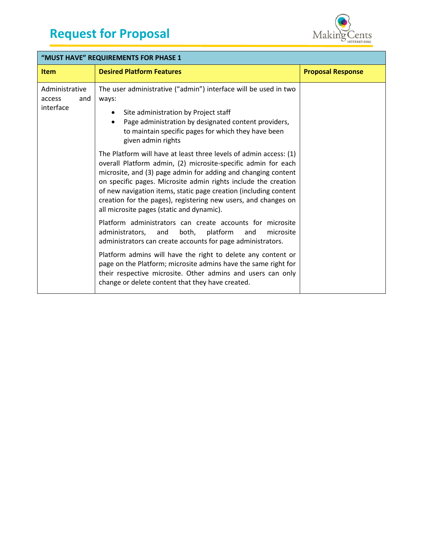

| "MUST HAVE" REQUIREMENTS FOR PHASE 1         |                                                                                                                                                                                                                                                                                                                                                                                                                                                          |                          |
|----------------------------------------------|----------------------------------------------------------------------------------------------------------------------------------------------------------------------------------------------------------------------------------------------------------------------------------------------------------------------------------------------------------------------------------------------------------------------------------------------------------|--------------------------|
| <b>Item</b>                                  | <b>Desired Platform Features</b>                                                                                                                                                                                                                                                                                                                                                                                                                         | <b>Proposal Response</b> |
| Administrative<br>and<br>access<br>interface | The user administrative ("admin") interface will be used in two<br>ways:<br>Site administration by Project staff<br>Page administration by designated content providers,<br>$\bullet$<br>to maintain specific pages for which they have been<br>given admin rights                                                                                                                                                                                       |                          |
|                                              | The Platform will have at least three levels of admin access: (1)<br>overall Platform admin, (2) microsite-specific admin for each<br>microsite, and (3) page admin for adding and changing content<br>on specific pages. Microsite admin rights include the creation<br>of new navigation items, static page creation (including content<br>creation for the pages), registering new users, and changes on<br>all microsite pages (static and dynamic). |                          |
|                                              | Platform administrators can create accounts for microsite<br>platform<br>administrators,<br>and<br>both,<br>microsite<br>and<br>administrators can create accounts for page administrators.                                                                                                                                                                                                                                                              |                          |
|                                              | Platform admins will have the right to delete any content or<br>page on the Platform; microsite admins have the same right for<br>their respective microsite. Other admins and users can only<br>change or delete content that they have created.                                                                                                                                                                                                        |                          |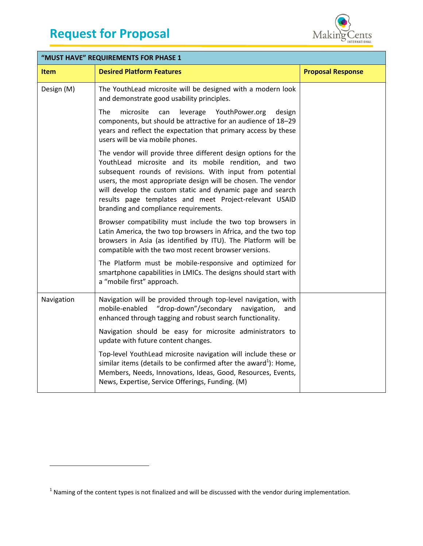l



| "MUST HAVE" REQUIREMENTS FOR PHASE 1 |                                                                                                                                                                                                                                                                                                                                                                                                                        |                          |
|--------------------------------------|------------------------------------------------------------------------------------------------------------------------------------------------------------------------------------------------------------------------------------------------------------------------------------------------------------------------------------------------------------------------------------------------------------------------|--------------------------|
| <b>Item</b>                          | <b>Desired Platform Features</b>                                                                                                                                                                                                                                                                                                                                                                                       | <b>Proposal Response</b> |
| Design (M)                           | The YouthLead microsite will be designed with a modern look<br>and demonstrate good usability principles.                                                                                                                                                                                                                                                                                                              |                          |
|                                      | microsite<br>The<br>can<br>leverage<br>YouthPower.org<br>design<br>components, but should be attractive for an audience of 18-29<br>years and reflect the expectation that primary access by these<br>users will be via mobile phones.                                                                                                                                                                                 |                          |
|                                      | The vendor will provide three different design options for the<br>YouthLead microsite and its mobile rendition, and two<br>subsequent rounds of revisions. With input from potential<br>users, the most appropriate design will be chosen. The vendor<br>will develop the custom static and dynamic page and search<br>results page templates and meet Project-relevant USAID<br>branding and compliance requirements. |                          |
|                                      | Browser compatibility must include the two top browsers in<br>Latin America, the two top browsers in Africa, and the two top<br>browsers in Asia (as identified by ITU). The Platform will be<br>compatible with the two most recent browser versions.                                                                                                                                                                 |                          |
|                                      | The Platform must be mobile-responsive and optimized for<br>smartphone capabilities in LMICs. The designs should start with<br>a "mobile first" approach.                                                                                                                                                                                                                                                              |                          |
| Navigation                           | Navigation will be provided through top-level navigation, with<br>mobile-enabled<br>"drop-down"/secondary<br>navigation,<br>and<br>enhanced through tagging and robust search functionality.                                                                                                                                                                                                                           |                          |
|                                      | Navigation should be easy for microsite administrators to<br>update with future content changes.                                                                                                                                                                                                                                                                                                                       |                          |
|                                      | Top-level YouthLead microsite navigation will include these or<br>similar items (details to be confirmed after the award <sup>1</sup> ): Home,<br>Members, Needs, Innovations, Ideas, Good, Resources, Events,<br>News, Expertise, Service Offerings, Funding. (M)                                                                                                                                                     |                          |

 $<sup>1</sup>$  Naming of the content types is not finalized and will be discussed with the vendor during implementation.</sup>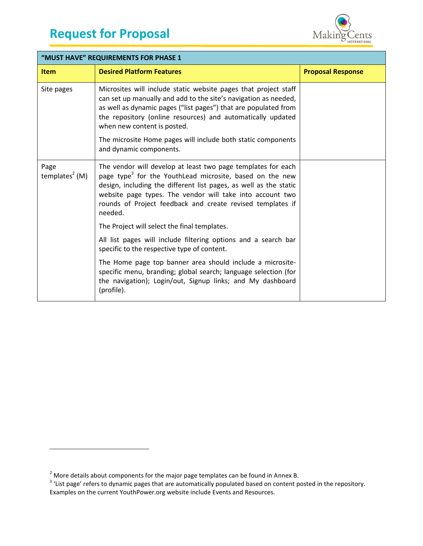

| "MUST HAVE" REQUIREMENTS FOR PHASE 1 |                                                                                                                                                                                                                                                                                                                                                 |                          |
|--------------------------------------|-------------------------------------------------------------------------------------------------------------------------------------------------------------------------------------------------------------------------------------------------------------------------------------------------------------------------------------------------|--------------------------|
| <b>Item</b>                          | <b>Desired Platform Features</b>                                                                                                                                                                                                                                                                                                                | <b>Proposal Response</b> |
| Site pages                           | Microsites will include static website pages that project staff<br>can set up manually and add to the site's navigation as needed,<br>as well as dynamic pages ("list pages") that are populated from<br>the repository (online resources) and automatically updated<br>when new content is posted.                                             |                          |
|                                      | The microsite Home pages will include both static components<br>and dynamic components.                                                                                                                                                                                                                                                         |                          |
| Page<br>templates <sup>2</sup> (M)   | The vendor will develop at least two page templates for each<br>page type <sup>3</sup> for the YouthLead microsite, based on the new<br>design, including the different list pages, as well as the static<br>website page types. The vendor will take into account two<br>rounds of Project feedback and create revised templates if<br>needed. |                          |
|                                      | The Project will select the final templates.                                                                                                                                                                                                                                                                                                    |                          |
|                                      | All list pages will include filtering options and a search bar<br>specific to the respective type of content.                                                                                                                                                                                                                                   |                          |
|                                      | The Home page top banner area should include a microsite-<br>specific menu, branding; global search; language selection (for<br>the navigation); Login/out, Signup links; and My dashboard<br>(profile).                                                                                                                                        |                          |

 $\overline{a}$ 

<sup>&</sup>lt;sup>2</sup> More details about components for the major page templates can be found in Annex B.<br><sup>3</sup> 'List page' refers to dynamic pages that are automatically populated based on content posted in the repository. Examples on the current YouthPower.org website include Events and Resources.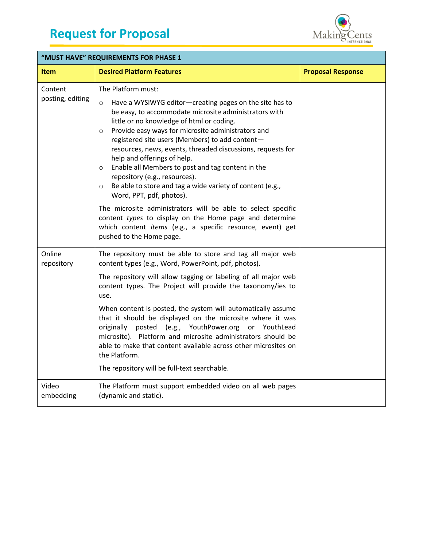

| "MUST HAVE" REQUIREMENTS FOR PHASE 1 |                                                                                                                                                                                                                                                                                                                                                                                                                                                                                                                                                                                                                       |                          |
|--------------------------------------|-----------------------------------------------------------------------------------------------------------------------------------------------------------------------------------------------------------------------------------------------------------------------------------------------------------------------------------------------------------------------------------------------------------------------------------------------------------------------------------------------------------------------------------------------------------------------------------------------------------------------|--------------------------|
| <b>Item</b>                          | <b>Desired Platform Features</b>                                                                                                                                                                                                                                                                                                                                                                                                                                                                                                                                                                                      | <b>Proposal Response</b> |
| Content<br>posting, editing          | The Platform must:<br>Have a WYSIWYG editor-creating pages on the site has to<br>$\circ$<br>be easy, to accommodate microsite administrators with<br>little or no knowledge of html or coding.<br>Provide easy ways for microsite administrators and<br>$\circ$<br>registered site users (Members) to add content-<br>resources, news, events, threaded discussions, requests for<br>help and offerings of help.<br>Enable all Members to post and tag content in the<br>$\circ$<br>repository (e.g., resources).<br>Be able to store and tag a wide variety of content (e.g.,<br>$\circ$<br>Word, PPT, pdf, photos). |                          |
|                                      | The microsite administrators will be able to select specific<br>content types to display on the Home page and determine<br>which content <i>items</i> (e.g., a specific resource, event) get<br>pushed to the Home page.                                                                                                                                                                                                                                                                                                                                                                                              |                          |
| Online<br>repository                 | The repository must be able to store and tag all major web<br>content types (e.g., Word, PowerPoint, pdf, photos).                                                                                                                                                                                                                                                                                                                                                                                                                                                                                                    |                          |
|                                      | The repository will allow tagging or labeling of all major web<br>content types. The Project will provide the taxonomy/ies to<br>use.                                                                                                                                                                                                                                                                                                                                                                                                                                                                                 |                          |
|                                      | When content is posted, the system will automatically assume<br>that it should be displayed on the microsite where it was<br>posted (e.g., YouthPower.org or YouthLead<br>originally<br>microsite). Platform and microsite administrators should be<br>able to make that content available across other microsites on<br>the Platform.<br>The repository will be full-text searchable.                                                                                                                                                                                                                                |                          |
|                                      |                                                                                                                                                                                                                                                                                                                                                                                                                                                                                                                                                                                                                       |                          |
| Video<br>embedding                   | The Platform must support embedded video on all web pages<br>(dynamic and static).                                                                                                                                                                                                                                                                                                                                                                                                                                                                                                                                    |                          |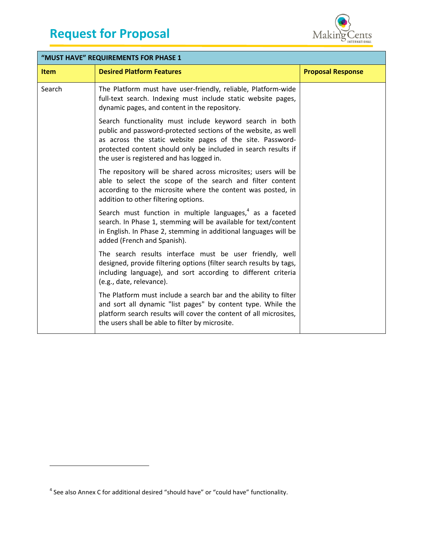

| "MUST HAVE" REQUIREMENTS FOR PHASE 1 |                                                                                                                                                                                                                                                                                                        |                          |
|--------------------------------------|--------------------------------------------------------------------------------------------------------------------------------------------------------------------------------------------------------------------------------------------------------------------------------------------------------|--------------------------|
| <b>Item</b>                          | <b>Desired Platform Features</b>                                                                                                                                                                                                                                                                       | <b>Proposal Response</b> |
| Search                               | The Platform must have user-friendly, reliable, Platform-wide<br>full-text search. Indexing must include static website pages,<br>dynamic pages, and content in the repository.                                                                                                                        |                          |
|                                      | Search functionality must include keyword search in both<br>public and password-protected sections of the website, as well<br>as across the static website pages of the site. Password-<br>protected content should only be included in search results if<br>the user is registered and has logged in. |                          |
|                                      | The repository will be shared across microsites; users will be<br>able to select the scope of the search and filter content<br>according to the microsite where the content was posted, in<br>addition to other filtering options.                                                                     |                          |
|                                      | Search must function in multiple languages, $4$ as a faceted<br>search. In Phase 1, stemming will be available for text/content<br>in English. In Phase 2, stemming in additional languages will be<br>added (French and Spanish).                                                                     |                          |
|                                      | The search results interface must be user friendly, well<br>designed, provide filtering options (filter search results by tags,<br>including language), and sort according to different criteria<br>(e.g., date, relevance).                                                                           |                          |
|                                      | The Platform must include a search bar and the ability to filter<br>and sort all dynamic "list pages" by content type. While the<br>platform search results will cover the content of all microsites,<br>the users shall be able to filter by microsite.                                               |                          |

### <sup>4</sup> See also Annex C for additional desired "should have" or "could have" functionality.

l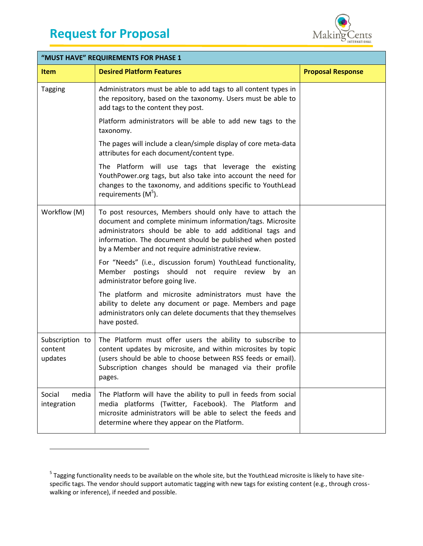$\overline{a}$ 



| "MUST HAVE" REQUIREMENTS FOR PHASE 1  |                                                                                                                                                                                                                                                                                                       |                          |
|---------------------------------------|-------------------------------------------------------------------------------------------------------------------------------------------------------------------------------------------------------------------------------------------------------------------------------------------------------|--------------------------|
| <b>Item</b>                           | <b>Desired Platform Features</b>                                                                                                                                                                                                                                                                      | <b>Proposal Response</b> |
| <b>Tagging</b>                        | Administrators must be able to add tags to all content types in<br>the repository, based on the taxonomy. Users must be able to<br>add tags to the content they post.                                                                                                                                 |                          |
|                                       | Platform administrators will be able to add new tags to the<br>taxonomy.                                                                                                                                                                                                                              |                          |
|                                       | The pages will include a clean/simple display of core meta-data<br>attributes for each document/content type.                                                                                                                                                                                         |                          |
|                                       | The Platform will use tags that leverage the existing<br>YouthPower.org tags, but also take into account the need for<br>changes to the taxonomy, and additions specific to YouthLead<br>requirements (M <sup>5</sup> ).                                                                              |                          |
| Workflow (M)                          | To post resources, Members should only have to attach the<br>document and complete minimum information/tags. Microsite<br>administrators should be able to add additional tags and<br>information. The document should be published when posted<br>by a Member and not require administrative review. |                          |
|                                       | For "Needs" (i.e., discussion forum) YouthLead functionality,<br>Member postings should not require review by an<br>administrator before going live.                                                                                                                                                  |                          |
|                                       | The platform and microsite administrators must have the<br>ability to delete any document or page. Members and page<br>administrators only can delete documents that they themselves<br>have posted.                                                                                                  |                          |
| Subscription to<br>content<br>updates | The Platform must offer users the ability to subscribe to<br>content updates by microsite, and within microsites by topic<br>(users should be able to choose between RSS feeds or email).<br>Subscription changes should be managed via their profile<br>pages.                                       |                          |
| media<br>Social<br>integration        | The Platform will have the ability to pull in feeds from social<br>media platforms (Twitter, Facebook). The Platform and<br>microsite administrators will be able to select the feeds and<br>determine where they appear on the Platform.                                                             |                          |

<sup>&</sup>lt;sup>5</sup> Tagging functionality needs to be available on the whole site, but the YouthLead microsite is likely to have sitespecific tags. The vendor should support automatic tagging with new tags for existing content (e.g., through crosswalking or inference), if needed and possible.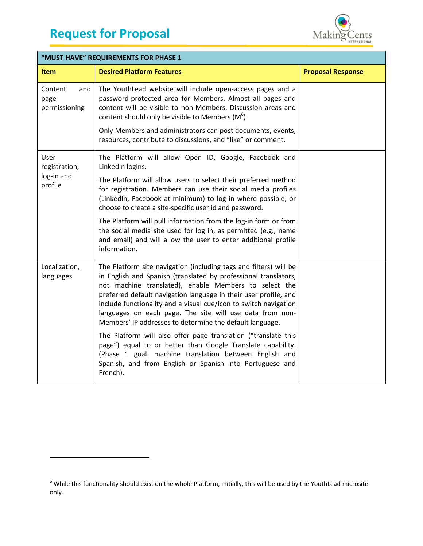$\overline{\phantom{a}}$ 



| "MUST HAVE" REQUIREMENTS FOR PHASE 1    |                                                                                                                                                                                                                                                                                                                                                                                                                                                               |                          |
|-----------------------------------------|---------------------------------------------------------------------------------------------------------------------------------------------------------------------------------------------------------------------------------------------------------------------------------------------------------------------------------------------------------------------------------------------------------------------------------------------------------------|--------------------------|
| <b>Item</b>                             | <b>Desired Platform Features</b>                                                                                                                                                                                                                                                                                                                                                                                                                              | <b>Proposal Response</b> |
| Content<br>and<br>page<br>permissioning | The YouthLead website will include open-access pages and a<br>password-protected area for Members. Almost all pages and<br>content will be visible to non-Members. Discussion areas and<br>content should only be visible to Members $(M6)$ .<br>Only Members and administrators can post documents, events,<br>resources, contribute to discussions, and "like" or comment.                                                                                  |                          |
| User<br>registration,                   | The Platform will allow Open ID, Google, Facebook and<br>LinkedIn logins.                                                                                                                                                                                                                                                                                                                                                                                     |                          |
| log-in and<br>profile                   | The Platform will allow users to select their preferred method<br>for registration. Members can use their social media profiles<br>(LinkedIn, Facebook at minimum) to log in where possible, or<br>choose to create a site-specific user id and password.                                                                                                                                                                                                     |                          |
|                                         | The Platform will pull information from the log-in form or from<br>the social media site used for log in, as permitted (e.g., name<br>and email) and will allow the user to enter additional profile<br>information.                                                                                                                                                                                                                                          |                          |
| Localization,<br>languages              | The Platform site navigation (including tags and filters) will be<br>in English and Spanish (translated by professional translators,<br>not machine translated), enable Members to select the<br>preferred default navigation language in their user profile, and<br>include functionality and a visual cue/icon to switch navigation<br>languages on each page. The site will use data from non-<br>Members' IP addresses to determine the default language. |                          |
|                                         | The Platform will also offer page translation ("translate this<br>page") equal to or better than Google Translate capability.<br>(Phase 1 goal: machine translation between English and<br>Spanish, and from English or Spanish into Portuguese and<br>French).                                                                                                                                                                                               |                          |

 $^6$  While this functionality should exist on the whole Platform, initially, this will be used by the YouthLead microsite only.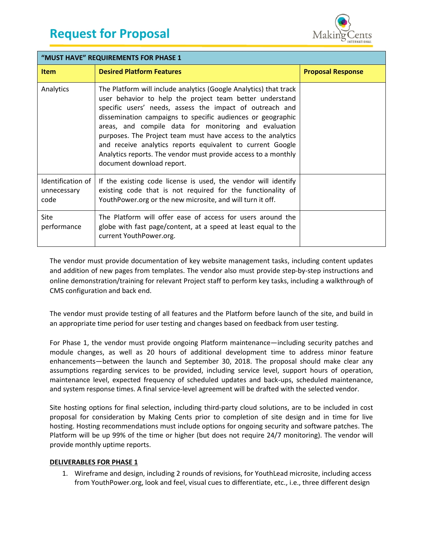

| "MUST HAVE" REQUIREMENTS FOR PHASE 1     |                                                                                                                                                                                                                                                                                                                                                                                                                                                                                                                                                |                          |  |
|------------------------------------------|------------------------------------------------------------------------------------------------------------------------------------------------------------------------------------------------------------------------------------------------------------------------------------------------------------------------------------------------------------------------------------------------------------------------------------------------------------------------------------------------------------------------------------------------|--------------------------|--|
| <b>Item</b>                              | <b>Desired Platform Features</b>                                                                                                                                                                                                                                                                                                                                                                                                                                                                                                               | <b>Proposal Response</b> |  |
| Analytics                                | The Platform will include analytics (Google Analytics) that track<br>user behavior to help the project team better understand<br>specific users' needs, assess the impact of outreach and<br>dissemination campaigns to specific audiences or geographic<br>areas, and compile data for monitoring and evaluation<br>purposes. The Project team must have access to the analytics<br>and receive analytics reports equivalent to current Google<br>Analytics reports. The vendor must provide access to a monthly<br>document download report. |                          |  |
| Identification of<br>unnecessary<br>code | If the existing code license is used, the vendor will identify<br>existing code that is not required for the functionality of<br>YouthPower.org or the new microsite, and will turn it off.                                                                                                                                                                                                                                                                                                                                                    |                          |  |
| Site<br>performance                      | The Platform will offer ease of access for users around the<br>globe with fast page/content, at a speed at least equal to the<br>current YouthPower.org.                                                                                                                                                                                                                                                                                                                                                                                       |                          |  |

The vendor must provide documentation of key website management tasks, including content updates and addition of new pages from templates. The vendor also must provide step-by-step instructions and online demonstration/training for relevant Project staff to perform key tasks, including a walkthrough of CMS configuration and back end.

The vendor must provide testing of all features and the Platform before launch of the site, and build in an appropriate time period for user testing and changes based on feedback from user testing.

For Phase 1, the vendor must provide ongoing Platform maintenance—including security patches and module changes, as well as 20 hours of additional development time to address minor feature enhancements—between the launch and September 30, 2018. The proposal should make clear any assumptions regarding services to be provided, including service level, support hours of operation, maintenance level, expected frequency of scheduled updates and back-ups, scheduled maintenance, and system response times. A final service-level agreement will be drafted with the selected vendor.

Site hosting options for final selection, including third-party cloud solutions, are to be included in cost proposal for consideration by Making Cents prior to completion of site design and in time for live hosting. Hosting recommendations must include options for ongoing security and software patches. The Platform will be up 99% of the time or higher (but does not require 24/7 monitoring). The vendor will provide monthly uptime reports.

### <span id="page-12-0"></span>**DELIVERABLES FOR PHASE 1**

1. Wireframe and design, including 2 rounds of revisions, for YouthLead microsite, including access from YouthPower.org, look and feel, visual cues to differentiate, etc., i.e., three different design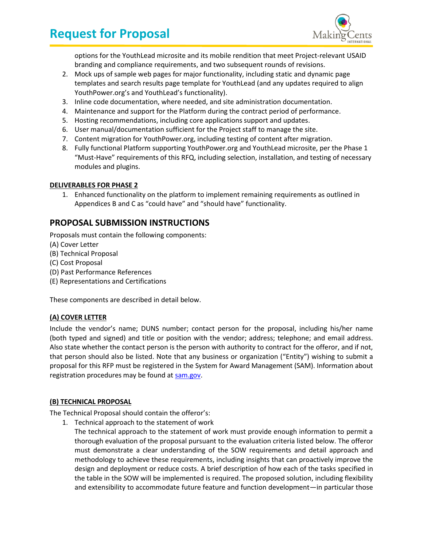

options for the YouthLead microsite and its mobile rendition that meet Project-relevant USAID branding and compliance requirements, and two subsequent rounds of revisions.

- 2. Mock ups of sample web pages for major functionality, including static and dynamic page templates and search results page template for YouthLead (and any updates required to align YouthPower.org's and YouthLead's functionality).
- 3. Inline code documentation, where needed, and site administration documentation.
- 4. Maintenance and support for the Platform during the contract period of performance.
- 5. Hosting recommendations, including core applications support and updates.
- 6. User manual/documentation sufficient for the Project staff to manage the site.
- 7. Content migration for YouthPower.org, including testing of content after migration.
- 8. Fully functional Platform supporting YouthPower.org and YouthLead microsite, per the Phase 1 "Must-Have" requirements of this RFQ, including selection, installation, and testing of necessary modules and plugins.

### **DELIVERABLES FOR PHASE 2**

1. Enhanced functionality on the platform to implement remaining requirements as outlined in Appendices B and C as "could have" and "should have" functionality.

## <span id="page-13-0"></span>**PROPOSAL SUBMISSION INSTRUCTIONS**

Proposals must contain the following components:

- (A) Cover Letter
- (B) Technical Proposal
- (C) Cost Proposal
- (D) Past Performance References
- (E) Representations and Certifications

<span id="page-13-1"></span>These components are described in detail below.

### **(A) COVER LETTER**

Include the vendor's name; DUNS number; contact person for the proposal, including his/her name (both typed and signed) and title or position with the vendor; address; telephone; and email address. Also state whether the contact person is the person with authority to contract for the offeror, and if not, that person should also be listed. Note that any business or organization ("Entity") wishing to submit a proposal for this RFP must be registered in the System for Award Management (SAM). Information about registration procedures may be found at [sam.gov.](https://www.sam.gov/)

### <span id="page-13-2"></span>**(B) TECHNICAL PROPOSAL**

The Technical Proposal should contain the offeror's:

- 1. Technical approach to the statement of work
	- The technical approach to the statement of work must provide enough information to permit a thorough evaluation of the proposal pursuant to the evaluation criteria listed below. The offeror must demonstrate a clear understanding of the SOW requirements and detail approach and methodology to achieve these requirements, including insights that can proactively improve the design and deployment or reduce costs. A brief description of how each of the tasks specified in the table in the SOW will be implemented is required. The proposed solution, including flexibility and extensibility to accommodate future feature and function development—in particular those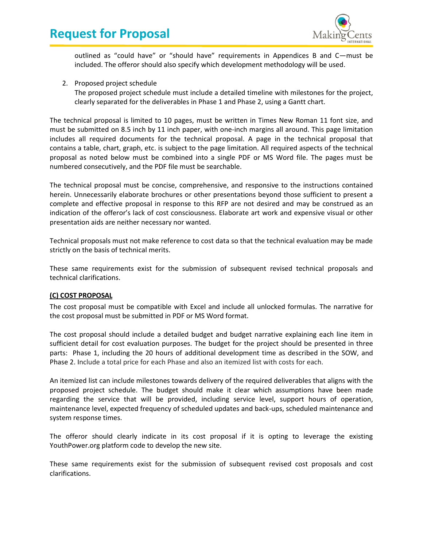

outlined as "could have" or "should have" requirements in Appendices B and C—must be included. The offeror should also specify which development methodology will be used.

2. Proposed project schedule The proposed project schedule must include a detailed timeline with milestones for the project, clearly separated for the deliverables in Phase 1 and Phase 2, using a Gantt chart.

The technical proposal is limited to 10 pages, must be written in Times New Roman 11 font size, and must be submitted on 8.5 inch by 11 inch paper, with one-inch margins all around. This page limitation includes all required documents for the technical proposal. A page in the technical proposal that contains a table, chart, graph, etc. is subject to the page limitation. All required aspects of the technical proposal as noted below must be combined into a single PDF or MS Word file. The pages must be numbered consecutively, and the PDF file must be searchable.

The technical proposal must be concise, comprehensive, and responsive to the instructions contained herein. Unnecessarily elaborate brochures or other presentations beyond those sufficient to present a complete and effective proposal in response to this RFP are not desired and may be construed as an indication of the offeror's lack of cost consciousness. Elaborate art work and expensive visual or other presentation aids are neither necessary nor wanted.

Technical proposals must not make reference to cost data so that the technical evaluation may be made strictly on the basis of technical merits.

These same requirements exist for the submission of subsequent revised technical proposals and technical clarifications.

### <span id="page-14-0"></span>**(C) COST PROPOSAL**

The cost proposal must be compatible with Excel and include all unlocked formulas. The narrative for the cost proposal must be submitted in PDF or MS Word format.

The cost proposal should include a detailed budget and budget narrative explaining each line item in sufficient detail for cost evaluation purposes. The budget for the project should be presented in three parts: Phase 1, including the 20 hours of additional development time as described in the SOW, and Phase 2. Include a total price for each Phase and also an itemized list with costs for each.

An itemized list can include milestones towards delivery of the required deliverables that aligns with the proposed project schedule. The budget should make it clear which assumptions have been made regarding the service that will be provided, including service level, support hours of operation, maintenance level, expected frequency of scheduled updates and back-ups, scheduled maintenance and system response times.

The offeror should clearly indicate in its cost proposal if it is opting to leverage the existing YouthPower.org platform code to develop the new site.

These same requirements exist for the submission of subsequent revised cost proposals and cost clarifications.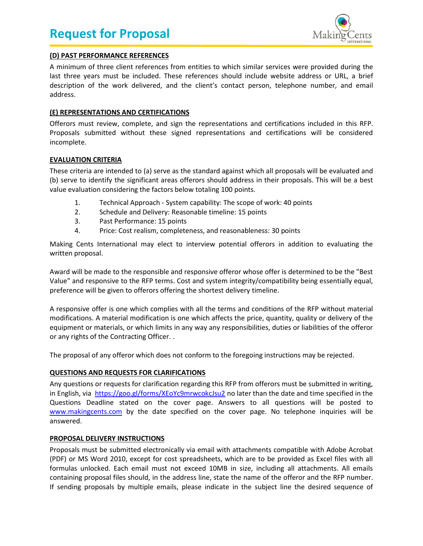

### <span id="page-15-0"></span>**(D) PAST PERFORMANCE REFERENCES**

A minimum of three client references from entities to which similar services were provided during the last three years must be included. These references should include website address or URL, a brief description of the work delivered, and the client's contact person, telephone number, and email address.

### <span id="page-15-1"></span>**(E) REPRESENTATIONS AND CERTIFICATIONS**

Offerors must review, complete, and sign the representations and certifications included in this RFP. Proposals submitted without these signed representations and certifications will be considered incomplete.

### <span id="page-15-2"></span>**EVALUATION CRITERIA**

These criteria are intended to (a) serve as the standard against which all proposals will be evaluated and (b) serve to identify the significant areas offerors should address in their proposals. This will be a best value evaluation considering the factors below totaling 100 points.

- 1. Technical Approach System capability: The scope of work: 40 points
- 2. Schedule and Delivery: Reasonable timeline: 15 points
- 3. Past Performance: 15 points
- 4. Price: Cost realism, completeness, and reasonableness: 30 points

Making Cents International may elect to interview potential offerors in addition to evaluating the written proposal.

Award will be made to the responsible and responsive offeror whose offer is determined to be the "Best Value" and responsive to the RFP terms. Cost and system integrity/compatibility being essentially equal, preference will be given to offerors offering the shortest delivery timeline.

A responsive offer is one which complies with all the terms and conditions of the RFP without material modifications. A material modification is one which affects the price, quantity, quality or delivery of the equipment or materials, or which limits in any way any responsibilities, duties or liabilities of the offeror or any rights of the Contracting Officer. .

<span id="page-15-3"></span>The proposal of any offeror which does not conform to the foregoing instructions may be rejected.

### **QUESTIONS AND REQUESTS FOR CLARIFICATIONS**

Any questions or requests for clarification regarding this RFP from offerors must be submitted in writing, in English, via <https://goo.gl/forms/XEoYc9mrwcokcJsu2> no later than the date and time specified in the Questions Deadline stated on the cover page. Answers to all questions will be posted to [www.makingcents.com](http://www.makingcents.com/) by the date specified on the cover page. No telephone inquiries will be answered.

### <span id="page-15-4"></span>**PROPOSAL DELIVERY INSTRUCTIONS**

Proposals must be submitted electronically via email with attachments compatible with Adobe Acrobat (PDF) or MS Word 2010, except for cost spreadsheets, which are to be provided as Excel files with all formulas unlocked. Each email must not exceed 10MB in size, including all attachments. All emails containing proposal files should, in the address line, state the name of the offeror and the RFP number. If sending proposals by multiple emails, please indicate in the subject line the desired sequence of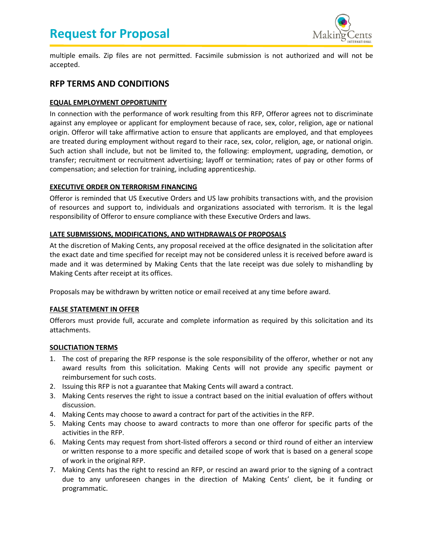

multiple emails. Zip files are not permitted. Facsimile submission is not authorized and will not be accepted.

### <span id="page-16-0"></span>**RFP TERMS AND CONDITIONS**

### <span id="page-16-1"></span>**EQUAL EMPLOYMENT OPPORTUNITY**

In connection with the performance of work resulting from this RFP, Offeror agrees not to discriminate against any employee or applicant for employment because of race, sex, color, religion, age or national origin. Offeror will take affirmative action to ensure that applicants are employed, and that employees are treated during employment without regard to their race, sex, color, religion, age, or national origin. Such action shall include, but not be limited to, the following: employment, upgrading, demotion, or transfer; recruitment or recruitment advertising; layoff or termination; rates of pay or other forms of compensation; and selection for training, including apprenticeship.

### <span id="page-16-2"></span>**EXECUTIVE ORDER ON TERRORISM FINANCING**

Offeror is reminded that US Executive Orders and US law prohibits transactions with, and the provision of resources and support to, individuals and organizations associated with terrorism. It is the legal responsibility of Offeror to ensure compliance with these Executive Orders and laws.

### <span id="page-16-3"></span>**LATE SUBMISSIONS, MODIFICATIONS, AND WITHDRAWALS OF PROPOSALS**

At the discretion of Making Cents, any proposal received at the office designated in the solicitation after the exact date and time specified for receipt may not be considered unless it is received before award is made and it was determined by Making Cents that the late receipt was due solely to mishandling by Making Cents after receipt at its offices.

<span id="page-16-4"></span>Proposals may be withdrawn by written notice or email received at any time before award.

### **FALSE STATEMENT IN OFFER**

Offerors must provide full, accurate and complete information as required by this solicitation and its attachments.

### <span id="page-16-5"></span>**SOLICTIATION TERMS**

- 1. The cost of preparing the RFP response is the sole responsibility of the offeror, whether or not any award results from this solicitation. Making Cents will not provide any specific payment or reimbursement for such costs.
- 2. Issuing this RFP is not a guarantee that Making Cents will award a contract.
- 3. Making Cents reserves the right to issue a contract based on the initial evaluation of offers without discussion.
- 4. Making Cents may choose to award a contract for part of the activities in the RFP.
- 5. Making Cents may choose to award contracts to more than one offeror for specific parts of the activities in the RFP.
- 6. Making Cents may request from short-listed offerors a second or third round of either an interview or written response to a more specific and detailed scope of work that is based on a general scope of work in the original RFP.
- 7. Making Cents has the right to rescind an RFP, or rescind an award prior to the signing of a contract due to any unforeseen changes in the direction of Making Cents' client, be it funding or programmatic.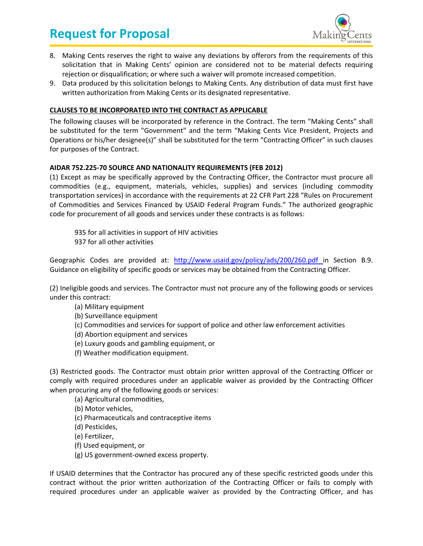

- 8. Making Cents reserves the right to waive any deviations by offerors from the requirements of this solicitation that in Making Cents' opinion are considered not to be material defects requiring rejection or disqualification; or where such a waiver will promote increased competition.
- 9. Data produced by this solicitation belongs to Making Cents. Any distribution of data must first have written authorization from Making Cents or its designated representative.

### <span id="page-17-0"></span>**CLAUSES TO BE INCORPORATED INTO THE CONTRACT AS APPLICABLE**

The following clauses will be incorporated by reference in the Contract. The term "Making Cents" shall be substituted for the term "Government" and the term "Making Cents Vice President, Projects and Operations or his/her designee(s)" shall be substituted for the term "Contracting Officer" in such clauses for purposes of the Contract.

### **AIDAR 752.225-70 SOURCE AND NATIONALITY REQUIREMENTS (FEB 2012)**

(1) Except as may be specifically approved by the Contracting Officer, the Contractor must procure all commodities (e.g., equipment, materials, vehicles, supplies) and services (including commodity transportation services) in accordance with the requirements at 22 CFR Part 228 "Rules on Procurement of Commodities and Services Financed by USAID Federal Program Funds." The authorized geographic code for procurement of all goods and services under these contracts is as follows:

935 for all activities in support of HIV activities 937 for all other activities

Geographic Codes are provided at: <http://www.usaid.gov/policy/ads/200/260.pdf> in Section B.9. Guidance on eligibility of specific goods or services may be obtained from the Contracting Officer.

(2) Ineligible goods and services. The Contractor must not procure any of the following goods or services under this contract:

- (a) Military equipment
- (b) Surveillance equipment
- (c) Commodities and services for support of police and other law enforcement activities
- (d) Abortion equipment and services
- (e) Luxury goods and gambling equipment, or
- (f) Weather modification equipment.

(3) Restricted goods. The Contractor must obtain prior written approval of the Contracting Officer or comply with required procedures under an applicable waiver as provided by the Contracting Officer when procuring any of the following goods or services:

(a) Agricultural commodities,

(b) Motor vehicles,

- (c) Pharmaceuticals and contraceptive items
- (d) Pesticides,
- (e) Fertilizer,
- (f) Used equipment, or
- (g) US government-owned excess property.

If USAID determines that the Contractor has procured any of these specific restricted goods under this contract without the prior written authorization of the Contracting Officer or fails to comply with required procedures under an applicable waiver as provided by the Contracting Officer, and has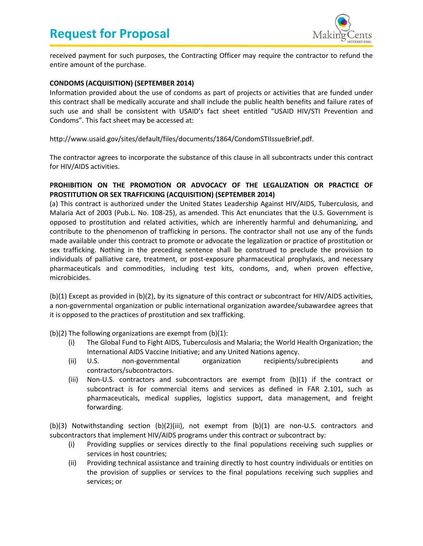

received payment for such purposes, the Contracting Officer may require the contractor to refund the entire amount of the purchase.

### **CONDOMS (ACQUISITION) (SEPTEMBER 2014)**

Information provided about the use of condoms as part of projects or activities that are funded under this contract shall be medically accurate and shall include the public health benefits and failure rates of such use and shall be consistent with USAID's fact sheet entitled "USAID HIV/STI Prevention and Condoms". This fact sheet may be accessed at:

http://www.usaid.gov/sites/default/files/documents/1864/CondomSTIIssueBrief.pdf.

The contractor agrees to incorporate the substance of this clause in all subcontracts under this contract for HIV/AIDS activities.

### **PROHIBITION ON THE PROMOTION OR ADVOCACY OF THE LEGALIZATION OR PRACTICE OF PROSTITUTION OR SEX TRAFFICKING (ACQUISITION) (SEPTEMBER 2014)**

(a) This contract is authorized under the United States Leadership Against HIV/AIDS, Tuberculosis, and Malaria Act of 2003 (Pub.L. No. 108-25), as amended. This Act enunciates that the U.S. Government is opposed to prostitution and related activities, which are inherently harmful and dehumanizing, and contribute to the phenomenon of trafficking in persons. The contractor shall not use any of the funds made available under this contract to promote or advocate the legalization or practice of prostitution or sex trafficking. Nothing in the preceding sentence shall be construed to preclude the provision to individuals of palliative care, treatment, or post-exposure pharmaceutical prophylaxis, and necessary pharmaceuticals and commodities, including test kits, condoms, and, when proven effective, microbicides.

(b)(1) Except as provided in (b)(2), by its signature of this contract or subcontract for HIV/AIDS activities, a non-governmental organization or public international organization awardee/subawardee agrees that it is opposed to the practices of prostitution and sex trafficking.

(b)(2) The following organizations are exempt from (b)(1):

- (i) The Global Fund to Fight AIDS, Tuberculosis and Malaria; the World Health Organization; the International AIDS Vaccine Initiative; and any United Nations agency.
- (ii) U.S. non-governmental organization recipients/subrecipients and contractors/subcontractors.
- (iii) Non-U.S. contractors and subcontractors are exempt from (b)(1) if the contract or subcontract is for commercial items and services as defined in FAR 2.101, such as pharmaceuticals, medical supplies, logistics support, data management, and freight forwarding.

(b)(3) Notwithstanding section (b)(2)(iii), not exempt from (b)(1) are non-U.S. contractors and subcontractors that implement HIV/AIDS programs under this contract or subcontract by:

- (i) Providing supplies or services directly to the final populations receiving such supplies or services in host countries;
- (ii) Providing technical assistance and training directly to host country individuals or entities on the provision of supplies or services to the final populations receiving such supplies and services; or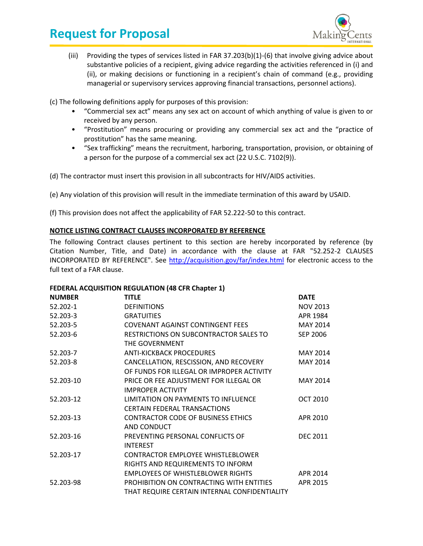

(iii) Providing the types of services listed in FAR 37.203(b)(1)-(6) that involve giving advice about substantive policies of a recipient, giving advice regarding the activities referenced in (i) and (ii), or making decisions or functioning in a recipient's chain of command (e.g., providing managerial or supervisory services approving financial transactions, personnel actions).

(c) The following definitions apply for purposes of this provision:

- "Commercial sex act" means any sex act on account of which anything of value is given to or received by any person.
- "Prostitution" means procuring or providing any commercial sex act and the "practice of prostitution" has the same meaning.
- "Sex trafficking" means the recruitment, harboring, transportation, provision, or obtaining of a person for the purpose of a commercial sex act (22 U.S.C. 7102(9)).

(d) The contractor must insert this provision in all subcontracts for HIV/AIDS activities.

(e) Any violation of this provision will result in the immediate termination of this award by USAID.

<span id="page-19-0"></span>(f) This provision does not affect the applicability of FAR 52.222-50 to this contract.

### **NOTICE LISTING CONTRACT CLAUSES INCORPORATED BY REFERENCE**

The following Contract clauses pertinent to this section are hereby incorporated by reference (by Citation Number, Title, and Date) in accordance with the clause at FAR "52.252-2 CLAUSES INCORPORATED BY REFERENCE". See<http://acquisition.gov/far/index.html> for electronic access to the full text of a FAR clause.

### **FEDERAL ACQUISITION REGULATION (48 CFR Chapter 1)**

| <b>NUMBER</b> | <b>TITLE</b>                                  | <b>DATE</b>     |
|---------------|-----------------------------------------------|-----------------|
| 52.202-1      | <b>DEFINITIONS</b>                            | <b>NOV 2013</b> |
| 52.203-3      | <b>GRATUITIES</b>                             | APR 1984        |
| 52.203-5      | <b>COVENANT AGAINST CONTINGENT FEES</b>       | MAY 2014        |
| 52.203-6      | RESTRICTIONS ON SUBCONTRACTOR SALES TO        | SEP 2006        |
|               | THE GOVERNMENT                                |                 |
| 52.203-7      | <b>ANTI-KICKBACK PROCEDURES</b>               | MAY 2014        |
| 52.203-8      | CANCELLATION, RESCISSION, AND RECOVERY        | MAY 2014        |
|               | OF FUNDS FOR ILLEGAL OR IMPROPER ACTIVITY     |                 |
| 52.203-10     | PRICE OR FEE ADJUSTMENT FOR ILLEGAL OR        | MAY 2014        |
|               | <b>IMPROPER ACTIVITY</b>                      |                 |
| 52.203-12     | LIMITATION ON PAYMENTS TO INFLUENCE           | <b>OCT 2010</b> |
|               | <b>CERTAIN FEDERAL TRANSACTIONS</b>           |                 |
| 52.203-13     | <b>CONTRACTOR CODE OF BUSINESS ETHICS</b>     | APR 2010        |
|               | AND CONDUCT                                   |                 |
| 52.203-16     | PREVENTING PERSONAL CONFLICTS OF              | <b>DEC 2011</b> |
|               | <b>INTEREST</b>                               |                 |
| 52.203-17     | <b>CONTRACTOR EMPLOYEE WHISTLEBLOWER</b>      |                 |
|               | RIGHTS AND REQUIREMENTS TO INFORM             |                 |
|               | <b>EMPLOYEES OF WHISTLEBLOWER RIGHTS</b>      | APR 2014        |
| 52.203-98     | PROHIBITION ON CONTRACTING WITH ENTITIES      | APR 2015        |
|               | THAT REQUIRE CERTAIN INTERNAL CONFIDENTIALITY |                 |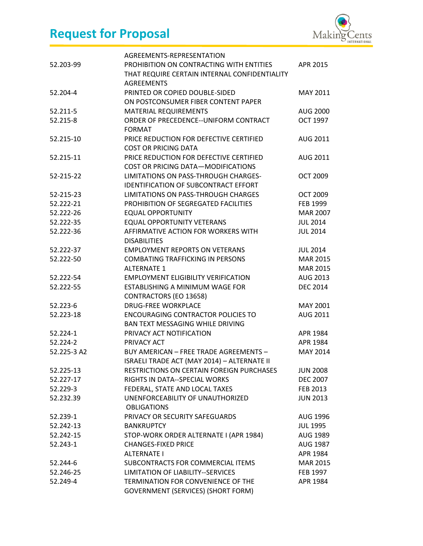

| 52.203-99   | AGREEMENTS-REPRESENTATION<br>PROHIBITION ON CONTRACTING WITH ENTITIES<br>THAT REQUIRE CERTAIN INTERNAL CONFIDENTIALITY<br><b>AGREEMENTS</b> | APR 2015        |
|-------------|---------------------------------------------------------------------------------------------------------------------------------------------|-----------------|
| 52.204-4    | PRINTED OR COPIED DOUBLE-SIDED<br>ON POSTCONSUMER FIBER CONTENT PAPER                                                                       | MAY 2011        |
| 52.211-5    | <b>MATERIAL REQUIREMENTS</b>                                                                                                                | <b>AUG 2000</b> |
| 52.215-8    | ORDER OF PRECEDENCE--UNIFORM CONTRACT<br><b>FORMAT</b>                                                                                      | <b>OCT 1997</b> |
| 52.215-10   | PRICE REDUCTION FOR DEFECTIVE CERTIFIED<br><b>COST OR PRICING DATA</b>                                                                      | AUG 2011        |
| 52.215-11   | PRICE REDUCTION FOR DEFECTIVE CERTIFIED<br><b>COST OR PRICING DATA-MODIFICATIONS</b>                                                        | <b>AUG 2011</b> |
| 52-215-22   | LIMITATIONS ON PASS-THROUGH CHARGES-<br><b>IDENTIFICATION OF SUBCONTRACT EFFORT</b>                                                         | <b>OCT 2009</b> |
| 52-215-23   | <b>LIMITATIONS ON PASS-THROUGH CHARGES</b>                                                                                                  | <b>OCT 2009</b> |
| 52.222-21   | PROHIBITION OF SEGREGATED FACILITIES                                                                                                        | FEB 1999        |
| 52.222-26   | <b>EQUAL OPPORTUNITY</b>                                                                                                                    | <b>MAR 2007</b> |
| 52.222-35   | <b>EQUAL OPPORTUNITY VETERANS</b>                                                                                                           | <b>JUL 2014</b> |
| 52.222-36   | AFFIRMATIVE ACTION FOR WORKERS WITH                                                                                                         | <b>JUL 2014</b> |
| 52.222-37   | <b>DISABILITIES</b><br><b>EMPLOYMENT REPORTS ON VETERANS</b>                                                                                | <b>JUL 2014</b> |
| 52.222-50   | <b>COMBATING TRAFFICKING IN PERSONS</b>                                                                                                     | MAR 2015        |
|             | <b>ALTERNATE 1</b>                                                                                                                          | <b>MAR 2015</b> |
| 52.222-54   | <b>EMPLOYMENT ELIGIBILITY VERIFICATION</b>                                                                                                  | AUG 2013        |
| 52.222-55   | ESTABLISHING A MINIMUM WAGE FOR                                                                                                             | <b>DEC 2014</b> |
|             | CONTRACTORS (EO 13658)                                                                                                                      |                 |
| 52.223-6    | <b>DRUG-FREE WORKPLACE</b>                                                                                                                  | <b>MAY 2001</b> |
| 52.223-18   | <b>ENCOURAGING CONTRACTOR POLICIES TO</b>                                                                                                   | AUG 2011        |
|             | <b>BAN TEXT MESSAGING WHILE DRIVING</b>                                                                                                     |                 |
| 52.224-1    | PRIVACY ACT NOTIFICATION                                                                                                                    | APR 1984        |
| 52.224-2    | PRIVACY ACT                                                                                                                                 | APR 1984        |
| 52.225-3 A2 | <b>BUY AMFRICAN - FRFF TRADF AGRFFMENTS -</b>                                                                                               | MAY 2014        |
|             | ISRAELI TRADE ACT (MAY 2014) - ALTERNATE II                                                                                                 |                 |
| 52.225-13   | RESTRICTIONS ON CERTAIN FOREIGN PURCHASES                                                                                                   | <b>JUN 2008</b> |
| 52.227-17   | RIGHTS IN DATA--SPECIAL WORKS                                                                                                               | <b>DEC 2007</b> |
| 52.229-3    | FEDERAL, STATE AND LOCAL TAXES                                                                                                              | <b>FEB 2013</b> |
| 52.232.39   | UNENFORCEABILITY OF UNAUTHORIZED<br><b>OBLIGATIONS</b>                                                                                      | <b>JUN 2013</b> |
| 52.239-1    | PRIVACY OR SECURITY SAFEGUARDS                                                                                                              | AUG 1996        |
| 52.242-13   | <b>BANKRUPTCY</b>                                                                                                                           | <b>JUL 1995</b> |
| 52.242-15   | STOP-WORK ORDER ALTERNATE I (APR 1984)                                                                                                      | AUG 1989        |
| 52.243-1    | <b>CHANGES-FIXED PRICE</b>                                                                                                                  | AUG 1987        |
|             | <b>ALTERNATE I</b>                                                                                                                          | APR 1984        |
| 52.244-6    | SUBCONTRACTS FOR COMMERCIAL ITEMS                                                                                                           | MAR 2015        |
| 52.246-25   | LIMITATION OF LIABILITY--SERVICES                                                                                                           | FEB 1997        |
| 52.249-4    | TERMINATION FOR CONVENIENCE OF THE<br><b>GOVERNMENT (SERVICES) (SHORT FORM)</b>                                                             | APR 1984        |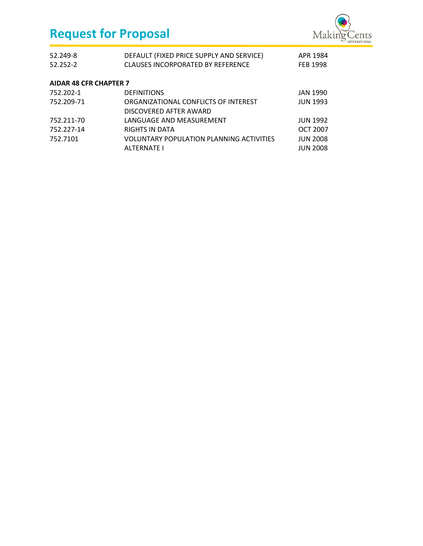

| 52.249-8<br>52.252-2          | DEFAULT (FIXED PRICE SUPPLY AND SERVICE)<br><b>CLAUSES INCORPORATED BY REFERENCE</b> | APR 1984<br>FEB 1998 |
|-------------------------------|--------------------------------------------------------------------------------------|----------------------|
| <b>AIDAR 48 CFR CHAPTER 7</b> |                                                                                      |                      |
| 752.202-1                     | <b>DEFINITIONS</b>                                                                   | <b>JAN 1990</b>      |
| 752.209-71                    | ORGANIZATIONAL CONFLICTS OF INTEREST                                                 | <b>JUN 1993</b>      |
|                               | DISCOVERED AFTER AWARD                                                               |                      |
| 752.211-70                    | LANGUAGE AND MEASUREMENT                                                             | <b>JUN 1992</b>      |
| 752.227-14                    | RIGHTS IN DATA                                                                       | <b>OCT 2007</b>      |
| 752.7101                      | VOLUNTARY POPULATION PLANNING ACTIVITIES                                             | <b>JUN 2008</b>      |
|                               | <b>ALTERNATE I</b>                                                                   | <b>JUN 2008</b>      |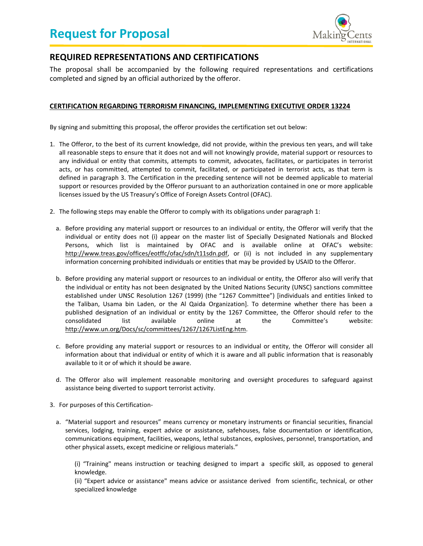

## <span id="page-22-0"></span>**REQUIRED REPRESENTATIONS AND CERTIFICATIONS**

The proposal shall be accompanied by the following required representations and certifications completed and signed by an official authorized by the offeror.

### <span id="page-22-1"></span>**CERTIFICATION REGARDING TERRORISM FINANCING***,* **IMPLEMENTING EXECUTIVE ORDER 13224**

By signing and submitting this proposal, the offeror provides the certification set out below:

- 1. The Offeror, to the best of its current knowledge, did not provide, within the previous ten years, and will take all reasonable steps to ensure that it does not and will not knowingly provide, material support or resources to any individual or entity that commits, attempts to commit, advocates, facilitates, or participates in terrorist acts, or has committed, attempted to commit, facilitated, or participated in terrorist acts, as that term is defined in paragraph 3. The Certification in the preceding sentence will not be deemed applicable to material support or resources provided by the Offeror pursuant to an authorization contained in one or more applicable licenses issued by the US Treasury's Office of Foreign Assets Control (OFAC).
- 2. The following steps may enable the Offeror to comply with its obligations under paragraph 1:
	- a. Before providing any material support or resources to an individual or entity, the Offeror will verify that the individual or entity does not (i) appear on the master list of Specially Designated Nationals and Blocked Persons, which list is maintained by OFAC and is available online at OFAC's website: http://www.treas.gov/offices/eotffc/ofac/sdn/t11sdn.pdf, or (ii) is not included in any supplementary information concerning prohibited individuals or entities that may be provided by USAID to the Offeror.
	- b. Before providing any material support or resources to an individual or entity, the Offeror also will verify that the individual or entity has not been designated by the United Nations Security (UNSC) sanctions committee established under UNSC Resolution 1267 (1999) (the "1267 Committee") [individuals and entities linked to the Taliban, Usama bin Laden, or the Al Qaida Organization]. To determine whether there has been a published designation of an individual or entity by the 1267 Committee, the Offeror should refer to the consolidated list available online at the Committee's website: http://www.un.org/Docs/sc/committees/1267/1267ListEng.htm.
	- c. Before providing any material support or resources to an individual or entity, the Offeror will consider all information about that individual or entity of which it is aware and all public information that is reasonably available to it or of which it should be aware.
	- d. The Offeror also will implement reasonable monitoring and oversight procedures to safeguard against assistance being diverted to support terrorist activity.
- 3. For purposes of this Certification
	- a. "Material support and resources" means currency or monetary instruments or financial securities, financial services, lodging, training, expert advice or assistance, safehouses, false documentation or identification, communications equipment, facilities, weapons, lethal substances, explosives, personnel, transportation, and other physical assets, except medicine or religious materials."

(i) "Training" means instruction or teaching designed to impart a specific skill, as opposed to general knowledge.

(ii) "Expert advice or assistance" means advice or assistance derived from scientific, technical, or other specialized knowledge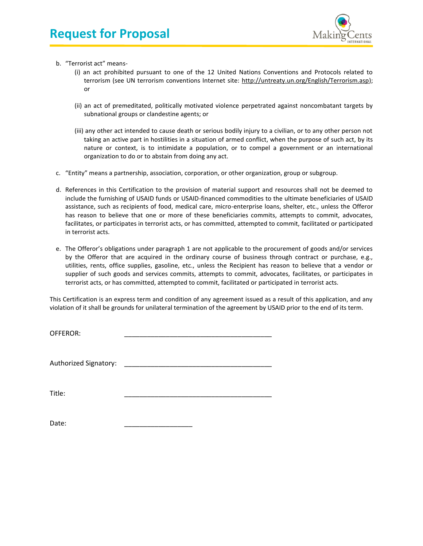

- b. "Terrorist act" means-
	- (i) an act prohibited pursuant to one of the 12 United Nations Conventions and Protocols related to terrorism (see UN terrorism conventions Internet site: http://untreaty.un.org/English/Terrorism.asp); or
	- (ii) an act of premeditated, politically motivated violence perpetrated against noncombatant targets by subnational groups or clandestine agents; or
	- (iii) any other act intended to cause death or serious bodily injury to a civilian, or to any other person not taking an active part in hostilities in a situation of armed conflict, when the purpose of such act, by its nature or context, is to intimidate a population, or to compel a government or an international organization to do or to abstain from doing any act.
- c. "Entity" means a partnership, association, corporation, or other organization, group or subgroup.
- d. References in this Certification to the provision of material support and resources shall not be deemed to include the furnishing of USAID funds or USAID-financed commodities to the ultimate beneficiaries of USAID assistance, such as recipients of food, medical care, micro-enterprise loans, shelter, etc., unless the Offeror has reason to believe that one or more of these beneficiaries commits, attempts to commit, advocates, facilitates, or participates in terrorist acts, or has committed, attempted to commit, facilitated or participated in terrorist acts.
- e. The Offeror's obligations under paragraph 1 are not applicable to the procurement of goods and/or services by the Offeror that are acquired in the ordinary course of business through contract or purchase, e.g., utilities, rents, office supplies, gasoline, etc., unless the Recipient has reason to believe that a vendor or supplier of such goods and services commits, attempts to commit, advocates, facilitates, or participates in terrorist acts, or has committed, attempted to commit, facilitated or participated in terrorist acts.

This Certification is an express term and condition of any agreement issued as a result of this application, and any violation of it shall be grounds for unilateral termination of the agreement by USAID prior to the end of its term.

OFFEROR:

Authorized Signatory:

Title: \_\_\_\_\_\_\_\_\_\_\_\_\_\_\_\_\_\_\_\_\_\_\_\_\_\_\_\_\_\_\_\_\_\_\_\_\_\_\_

Date: \_\_\_\_\_\_\_\_\_\_\_\_\_\_\_\_\_\_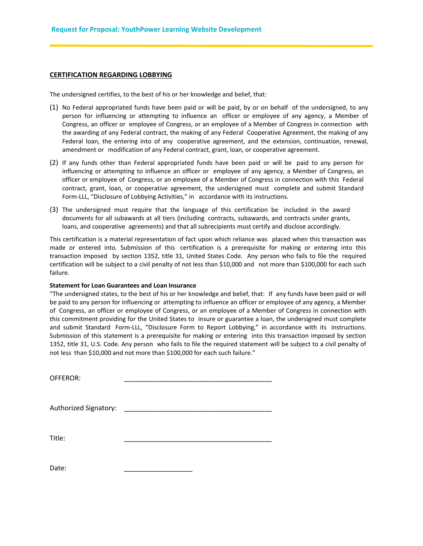#### <span id="page-24-0"></span>**CERTIFICATION REGARDING LOBBYING**

The undersigned certifies, to the best of his or her knowledge and belief, that:

- (1) No Federal appropriated funds have been paid or will be paid, by or on behalf of the undersigned, to any person for influencing or attempting to influence an officer or employee of any agency, a Member of Congress, an officer or employee of Congress, or an employee of a Member of Congress in connection with the awarding of any Federal contract, the making of any Federal Cooperative Agreement, the making of any Federal loan, the entering into of any cooperative agreement, and the extension, continuation, renewal, amendment or modification of any Federal contract, grant, loan, or cooperative agreement.
- (2) If any funds other than Federal appropriated funds have been paid or will be paid to any person for influencing or attempting to influence an officer or employee of any agency, a Member of Congress, an officer or employee of Congress, or an employee of a Member of Congress in connection with this Federal contract, grant, loan, or cooperative agreement, the undersigned must complete and submit Standard Form-LLL, "Disclosure of Lobbying Activities," in accordance with its instructions.
- (3) The undersigned must require that the language of this certification be included in the award documents for all subawards at all tiers (including contracts, subawards, and contracts under grants, loans, and cooperative agreements) and that all subrecipients must certify and disclose accordingly.

This certification is a material representation of fact upon which reliance was placed when this transaction was made or entered into. Submission of this certification is a prerequisite for making or entering into this transaction imposed by section 1352, title 31, United States Code. Any person who fails to file the required certification will be subject to a civil penalty of not less than \$10,000 and not more than \$100,000 for each such failure.

#### **Statement for Loan Guarantees and Loan Insurance**

"The undersigned states, to the best of his or her knowledge and belief, that: If any funds have been paid or will be paid to any person for influencing or attempting to influence an officer or employee of any agency, a Member of Congress, an officer or employee of Congress, or an employee of a Member of Congress in connection with this commitment providing for the United States to insure or guarantee a loan, the undersigned must complete and submit Standard Form-LLL, "Disclosure Form to Report Lobbying," in accordance with its instructions. Submission of this statement is a prerequisite for making or entering into this transaction imposed by section 1352, title 31, U.S. Code. Any person who fails to file the required statement will be subject to a civil penalty of not less than \$10,000 and not more than \$100,000 for each such failure."

OFFEROR:

Authorized Signatory:

Title: \_\_\_\_\_\_\_\_\_\_\_\_\_\_\_\_\_\_\_\_\_\_\_\_\_\_\_\_\_\_\_\_\_\_\_\_\_\_\_

Date: \_\_\_\_\_\_\_\_\_\_\_\_\_\_\_\_\_\_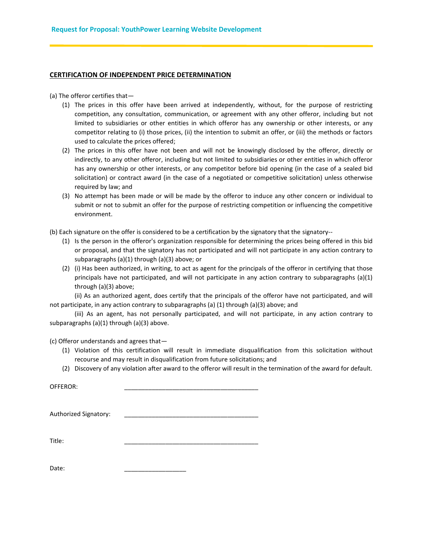#### <span id="page-25-0"></span>**CERTIFICATION OF INDEPENDENT PRICE DETERMINATION**

(a) The offeror certifies that—

- (1) The prices in this offer have been arrived at independently, without, for the purpose of restricting competition, any consultation, communication, or agreement with any other offeror, including but not limited to subsidiaries or other entities in which offeror has any ownership or other interests, or any competitor relating to (i) those prices, (ii) the intention to submit an offer, or (iii) the methods or factors used to calculate the prices offered;
- (2) The prices in this offer have not been and will not be knowingly disclosed by the offeror, directly or indirectly, to any other offeror, including but not limited to subsidiaries or other entities in which offeror has any ownership or other interests, or any competitor before bid opening (in the case of a sealed bid solicitation) or contract award (in the case of a negotiated or competitive solicitation) unless otherwise required by law; and
- (3) No attempt has been made or will be made by the offeror to induce any other concern or individual to submit or not to submit an offer for the purpose of restricting competition or influencing the competitive environment.

(b) Each signature on the offer is considered to be a certification by the signatory that the signatory--

- (1) Is the person in the offeror's organization responsible for determining the prices being offered in this bid or proposal, and that the signatory has not participated and will not participate in any action contrary to subparagraphs (a)(1) through (a)(3) above; or
- (2) (i) Has been authorized, in writing, to act as agent for the principals of the offeror in certifying that those principals have not participated, and will not participate in any action contrary to subparagraphs (a)(1) through (a)(3) above;

(ii) As an authorized agent, does certify that the principals of the offeror have not participated, and will not participate, in any action contrary to subparagraphs (a) (1) through (a)(3) above; and

(iii) As an agent, has not personally participated, and will not participate, in any action contrary to subparagraphs (a)(1) through (a)(3) above.

(c) Offeror understands and agrees that—

- (1) Violation of this certification will result in immediate disqualification from this solicitation without recourse and may result in disqualification from future solicitations; and
- (2) Discovery of any violation after award to the offeror will result in the termination of the award for default.

| OFFEROR:              |  |
|-----------------------|--|
| Authorized Signatory: |  |
| Title:                |  |

Date: \_\_\_\_\_\_\_\_\_\_\_\_\_\_\_\_\_\_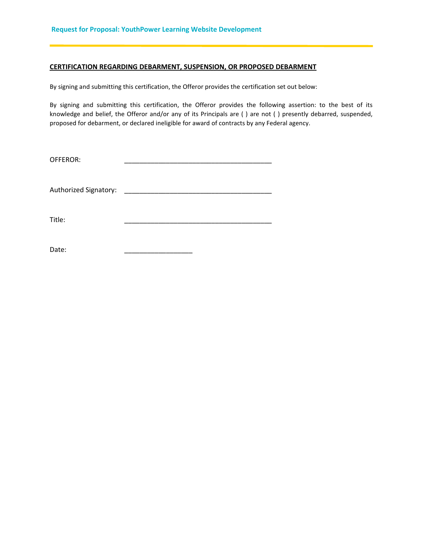#### <span id="page-26-0"></span>**CERTIFICATION REGARDING DEBARMENT, SUSPENSION, OR PROPOSED DEBARMENT**

By signing and submitting this certification, the Offeror provides the certification set out below:

By signing and submitting this certification, the Offeror provides the following assertion: to the best of its knowledge and belief, the Offeror and/or any of its Principals are ( ) are not ( ) presently debarred, suspended, proposed for debarment, or declared ineligible for award of contracts by any Federal agency.

| OFFEROR: |  |  |
|----------|--|--|
|          |  |  |

Authorized Signatory: \_\_\_\_\_\_\_\_\_\_\_\_\_\_\_\_\_\_\_\_\_\_\_\_\_\_\_\_\_\_\_\_\_\_\_\_\_\_\_

Title: \_\_\_\_\_\_\_\_\_\_\_\_\_\_\_\_\_\_\_\_\_\_\_\_\_\_\_\_\_\_\_\_\_\_\_\_\_\_\_

Date: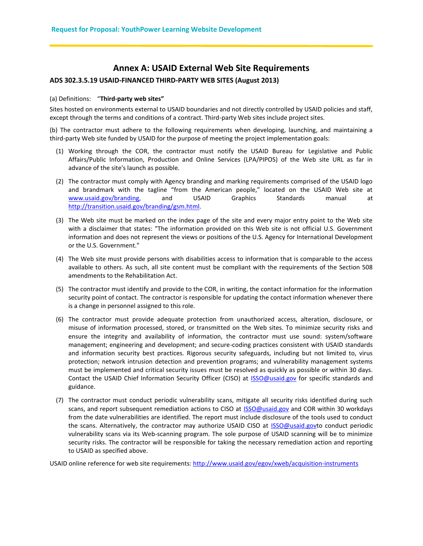### **Annex A: USAID External Web Site Requirements**

### <span id="page-27-0"></span>**ADS 302.3.5.19 USAID-FINANCED THIRD-PARTY WEB SITES (August 2013)**

#### (a) Definitions: "**Third-party web sites"**

Sites hosted on environments external to USAID boundaries and not directly controlled by USAID policies and staff, except through the terms and conditions of a contract. Third-party Web sites include project sites.

(b) The contractor must adhere to the following requirements when developing, launching, and maintaining a third-party Web site funded by USAID for the purpose of meeting the project implementation goals:

- (1) Working through the COR, the contractor must notify the USAID Bureau for Legislative and Public Affairs/Public Information, Production and Online Services (LPA/PIPOS) of the Web site URL as far in advance of the site's launch as possible.
- (2) The contractor must comply with Agency branding and marking requirements comprised of the USAID logo and brandmark with the tagline "from the American people," located on the USAID Web site at [www.usaid.gov/branding,](file:///C:/Users/Christina.Zola/AppData/Local/Microsoft/Windows/Temporary%20Internet%20Files/Content.Outlook/Y7760H9U/www.usaid.gov/branding) and USAID Graphics Standards manual at [http://transition.usaid.gov/branding/gsm.html.](http://transition.usaid.gov/branding/gsm.html)
- (3) The Web site must be marked on the index page of the site and every major entry point to the Web site with a disclaimer that states: "The information provided on this Web site is not official U.S. Government information and does not represent the views or positions of the U.S. Agency for International Development or the U.S. Government."
- (4) The Web site must provide persons with disabilities access to information that is comparable to the access available to others. As such, all site content must be compliant with the requirements of the Section 508 amendments to the Rehabilitation Act.
- (5) The contractor must identify and provide to the COR, in writing, the contact information for the information security point of contact. The contractor is responsible for updating the contact information whenever there is a change in personnel assigned to this role.
- (6) The contractor must provide adequate protection from unauthorized access, alteration, disclosure, or misuse of information processed, stored, or transmitted on the Web sites. To minimize security risks and ensure the integrity and availability of information, the contractor must use sound: system/software management; engineering and development; and secure-coding practices consistent with USAID standards and information security best practices. Rigorous security safeguards, including but not limited to, virus protection; network intrusion detection and prevention programs; and vulnerability management systems must be implemented and critical security issues must be resolved as quickly as possible or within 30 days. Contact the USAID Chief Information Security Officer (CISO) at [ISSO@usaid.gov](mailto:ISSO@usaid.gov) for specific standards and guidance.
- (7) The contractor must conduct periodic vulnerability scans, mitigate all security risks identified during such scans, and report subsequent remediation actions to CISO at **ISSO@usaid.gov** and COR within 30 workdays from the date vulnerabilities are identified. The report must include disclosure of the tools used to conduct the scans. Alternatively, the contractor may authorize USAID CISO at [ISSO@usaid.govt](mailto:ISSO@usaid.gov)o conduct periodic vulnerability scans via its Web-scanning program. The sole purpose of USAID scanning will be to minimize security risks. The contractor will be responsible for taking the necessary remediation action and reporting to USAID as specified above.

USAID online reference for web site requirements[: http://www.usaid.gov/egov/xweb/acquisition-instruments](http://www.usaid.gov/egov/xweb/acquisition-instruments)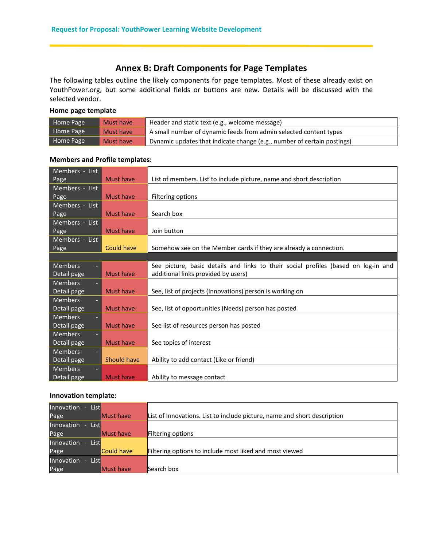## **Annex B: Draft Components for Page Templates**

<span id="page-28-0"></span>The following tables outline the likely components for page templates. Most of these already exist on YouthPower.org, but some additional fields or buttons are new. Details will be discussed with the selected vendor.

### **Home page template**

| Home Page | Must have | Header and static text (e.g., welcome message)                          |
|-----------|-----------|-------------------------------------------------------------------------|
| Home Page | Must have | A small number of dynamic feeds from admin selected content types       |
| Home Page | Must have | Dynamic updates that indicate change (e.g., number of certain postings) |

### **Members and Profile templates:**

| Members - List |                   |                                                                                    |
|----------------|-------------------|------------------------------------------------------------------------------------|
| Page           | Must have         | List of members. List to include picture, name and short description               |
| Members - List |                   |                                                                                    |
| Page           | Must have         | Filtering options                                                                  |
| Members - List |                   |                                                                                    |
| Page           | Must have         | Search box                                                                         |
| Members - List |                   |                                                                                    |
| Page           | Must have         | Join button                                                                        |
| Members - List |                   |                                                                                    |
| Page           | <b>Could have</b> | Somehow see on the Member cards if they are already a connection.                  |
|                |                   |                                                                                    |
| <b>Members</b> |                   | See picture, basic details and links to their social profiles (based on log-in and |
| Detail page    | Must have         | additional links provided by users)                                                |
| <b>Members</b> |                   |                                                                                    |
| Detail page    | <b>Must have</b>  | See, list of projects (Innovations) person is working on                           |
| <b>Members</b> |                   |                                                                                    |
| Detail page    | Must have         | See, list of opportunities (Needs) person has posted                               |
| <b>Members</b> |                   |                                                                                    |
| Detail page    | <b>Must have</b>  | See list of resources person has posted                                            |
| <b>Members</b> |                   |                                                                                    |
| Detail page    | <b>Must have</b>  | See topics of interest                                                             |
| <b>Members</b> |                   |                                                                                    |
| Detail page    | Should have       | Ability to add contact (Like or friend)                                            |
| <b>Members</b> |                   |                                                                                    |
| Detail page    | <b>Must have</b>  | Ability to message contact                                                         |

### **Innovation template:**

| <b>List</b><br>Innovation - |                   |                                                                          |
|-----------------------------|-------------------|--------------------------------------------------------------------------|
| Page                        | <b>Must have</b>  | List of Innovations. List to include picture, name and short description |
| Innovation<br><b>List</b>   |                   |                                                                          |
| Page                        | <b>IMust have</b> | Filtering options                                                        |
| Innovation<br><b>List</b>   |                   |                                                                          |
| Page                        | Could have        | Filtering options to include most liked and most viewed                  |
| Innovation<br>List <b>I</b> |                   |                                                                          |
| Page                        | lMust have        | lSearch box                                                              |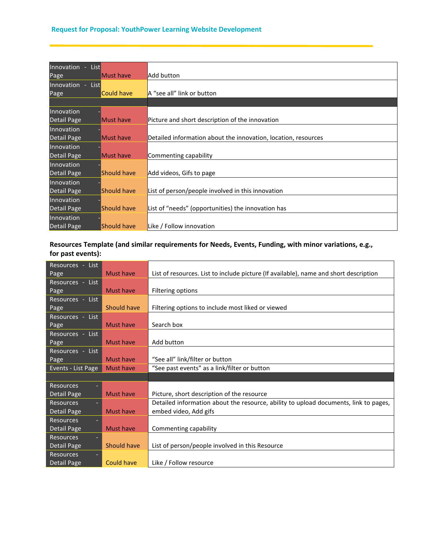| Innovation - List  |             |                                                                |
|--------------------|-------------|----------------------------------------------------------------|
| Page               | Must have   | Add button                                                     |
| Innovation - List  |             |                                                                |
| Page               | Could have  | A "see all" link or button                                     |
|                    |             |                                                                |
| Innovation         |             |                                                                |
| <b>Detail Page</b> | Must have   | Picture and short description of the innovation                |
| Innovation         |             |                                                                |
| Detail Page        | Must have   | Detailed information about the innovation, location, resources |
| Innovation         |             |                                                                |
| Detail Page        | Must have   | Commenting capability                                          |
| Innovation         |             |                                                                |
| Detail Page        | Should have | Add videos, Gifs to page                                       |
| Innovation         |             |                                                                |
| Detail Page        | Should have | List of person/people involved in this innovation              |
| Innovation         |             |                                                                |
| Detail Page        | Should have | List of "needs" (opportunities) the innovation has             |
| Innovation         |             |                                                                |
| Detail Page        | Should have | Like / Follow innovation                                       |

### **Resources Template (and similar requirements for Needs, Events, Funding, with minor variations, e.g., for past events):**

| Resources - List   |                   |                                                                                       |
|--------------------|-------------------|---------------------------------------------------------------------------------------|
| Page               | Must have         | List of resources. List to include picture (If available), name and short description |
| Resources - List   |                   |                                                                                       |
| Page               | <b>Must have</b>  | Filtering options                                                                     |
| Resources - List   |                   |                                                                                       |
| Page               | Should have       | Filtering options to include most liked or viewed                                     |
| Resources - List   |                   |                                                                                       |
| Page               | Must have         | Search box                                                                            |
| Resources - List   |                   |                                                                                       |
| Page               | Must have         | Add button                                                                            |
| Resources - List   |                   |                                                                                       |
| Page               | Must have         | "See all" link/filter or button                                                       |
| Events - List Page | <b>Must have</b>  | "See past events" as a link/filter or button                                          |
|                    |                   |                                                                                       |
| <b>Resources</b>   |                   |                                                                                       |
| Detail Page        | Must have         | Picture, short description of the resource                                            |
| <b>Resources</b>   |                   | Detailed information about the resource, ability to upload documents, link to pages,  |
| Detail Page        | Must have         | embed video, Add gifs                                                                 |
| <b>Resources</b>   |                   |                                                                                       |
| Detail Page        | Must have         | Commenting capability                                                                 |
| <b>Resources</b>   |                   |                                                                                       |
| Detail Page        | Should have       | List of person/people involved in this Resource                                       |
| <b>Resources</b>   |                   |                                                                                       |
| Detail Page        | <b>Could have</b> | Like / Follow resource                                                                |